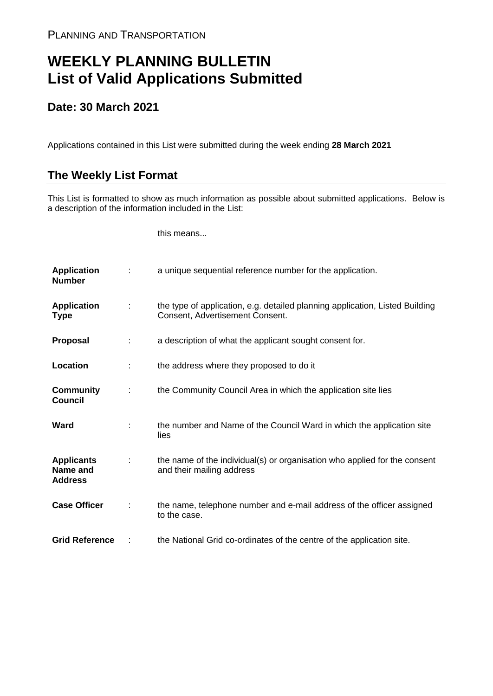## **WEEKLY PLANNING BULLETIN List of Valid Applications Submitted**

## **Date: 30 March 2021**

Applications contained in this List were submitted during the week ending **28 March 2021**

## **The Weekly List Format**

This List is formatted to show as much information as possible about submitted applications. Below is a description of the information included in the List:

this means...

| <b>Application</b><br><b>Number</b>             |   | a unique sequential reference number for the application.                                                       |
|-------------------------------------------------|---|-----------------------------------------------------------------------------------------------------------------|
| <b>Application</b><br>Type                      | ÷ | the type of application, e.g. detailed planning application, Listed Building<br>Consent, Advertisement Consent. |
| <b>Proposal</b>                                 | ÷ | a description of what the applicant sought consent for.                                                         |
| Location                                        |   | the address where they proposed to do it                                                                        |
| <b>Community</b><br><b>Council</b>              |   | the Community Council Area in which the application site lies                                                   |
| Ward                                            |   | the number and Name of the Council Ward in which the application site<br>lies                                   |
| <b>Applicants</b><br>Name and<br><b>Address</b> |   | the name of the individual(s) or organisation who applied for the consent<br>and their mailing address          |
| <b>Case Officer</b>                             |   | the name, telephone number and e-mail address of the officer assigned<br>to the case.                           |
| <b>Grid Reference</b>                           |   | the National Grid co-ordinates of the centre of the application site.                                           |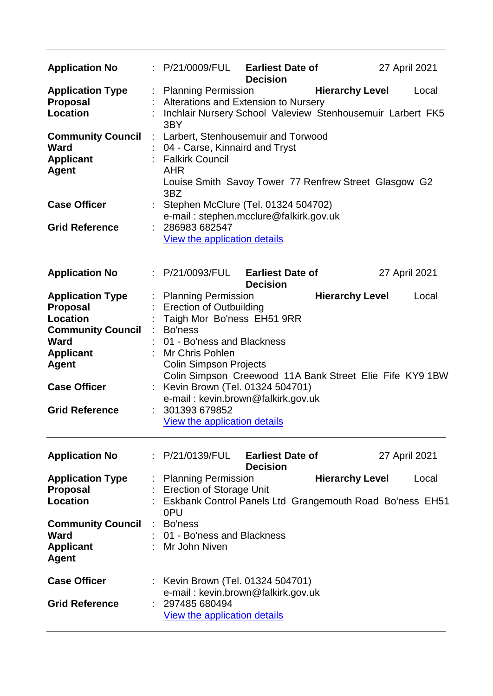| <b>Application No</b>                                                       |                       | : P/21/0009/FUL Earliest Date of                                                                                                                                             | <b>Decision</b>                            |                        | 27 April 2021 |       |
|-----------------------------------------------------------------------------|-----------------------|------------------------------------------------------------------------------------------------------------------------------------------------------------------------------|--------------------------------------------|------------------------|---------------|-------|
| <b>Application Type</b><br><b>Proposal</b><br><b>Location</b>               |                       | <b>Planning Permission</b><br>Alterations and Extension to Nursery<br>Inchlair Nursery School Valeview Stenhousemuir Larbert FK5<br>3BY                                      |                                            | <b>Hierarchy Level</b> |               | Local |
| <b>Community Council</b><br><b>Ward</b><br><b>Applicant</b><br><b>Agent</b> | $\mathbb{Z}^{\times}$ | Larbert, Stenhousemuir and Torwood<br>04 - Carse, Kinnaird and Tryst<br><b>Falkirk Council</b><br><b>AHR</b><br>Louise Smith Savoy Tower 77 Renfrew Street Glasgow G2<br>3BZ |                                            |                        |               |       |
| <b>Case Officer</b>                                                         |                       | Stephen McClure (Tel. 01324 504702)<br>e-mail: stephen.mcclure@falkirk.gov.uk                                                                                                |                                            |                        |               |       |
| <b>Grid Reference</b>                                                       |                       | 286983 682547<br>View the application details                                                                                                                                |                                            |                        |               |       |
| <b>Application No</b>                                                       |                       | : P/21/0093/FUL                                                                                                                                                              | <b>Earliest Date of</b><br><b>Decision</b> |                        | 27 April 2021 |       |
| <b>Application Type</b><br><b>Proposal</b><br><b>Location</b>               |                       | <b>Planning Permission</b><br><b>Erection of Outbuilding</b><br>Taigh Mor Bo'ness EH51 9RR                                                                                   |                                            | <b>Hierarchy Level</b> |               | Local |
| <b>Community Council</b><br><b>Ward</b><br><b>Applicant</b><br><b>Agent</b> |                       | Bo'ness<br>01 - Bo'ness and Blackness<br>Mr Chris Pohlen<br><b>Colin Simpson Projects</b>                                                                                    |                                            |                        |               |       |
| <b>Case Officer</b>                                                         |                       | Colin Simpson Creewood 11A Bank Street Elie Fife KY9 1BW<br>Kevin Brown (Tel. 01324 504701)<br>e-mail: kevin.brown@falkirk.gov.uk                                            |                                            |                        |               |       |
| <b>Grid Reference</b>                                                       |                       | 301393 679852<br>View the application details                                                                                                                                |                                            |                        |               |       |
| <b>Application No</b>                                                       |                       | : P/21/0139/FUL                                                                                                                                                              | <b>Earliest Date of</b><br><b>Decision</b> |                        | 27 April 2021 |       |
| <b>Application Type</b><br><b>Proposal</b><br><b>Location</b>               |                       | <b>Planning Permission</b><br><b>Erection of Storage Unit</b><br>Eskbank Control Panels Ltd Grangemouth Road Bo'ness EH51<br>0PU                                             |                                            | <b>Hierarchy Level</b> |               | Local |
| <b>Community Council</b><br><b>Ward</b><br><b>Applicant</b><br><b>Agent</b> |                       | Bo'ness<br>01 - Bo'ness and Blackness<br>Mr John Niven                                                                                                                       |                                            |                        |               |       |
| <b>Case Officer</b><br><b>Grid Reference</b>                                |                       | Kevin Brown (Tel. 01324 504701)<br>e-mail: kevin.brown@falkirk.gov.uk<br>297485 680494<br>View the application details                                                       |                                            |                        |               |       |
|                                                                             |                       |                                                                                                                                                                              |                                            |                        |               |       |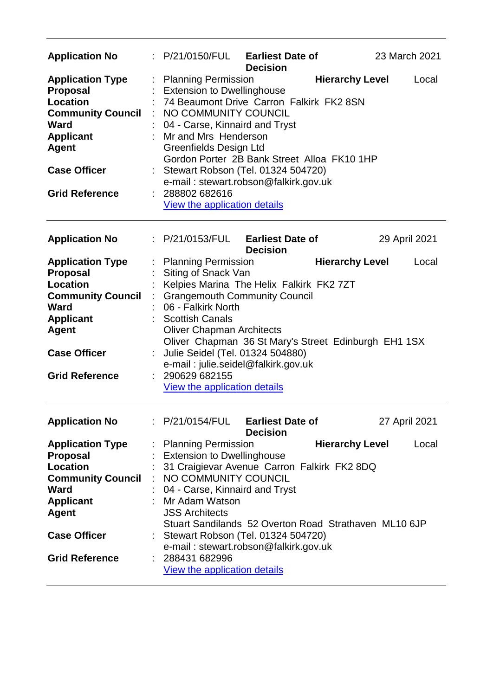| <b>Application No</b>                                                                                                                                                                        |    | : P/21/0150/FUL Earliest Date of                                                                                                                                                                                                                                                                                                                                                                              | <b>Decision</b>                            |                        | 23 March 2021 |  |
|----------------------------------------------------------------------------------------------------------------------------------------------------------------------------------------------|----|---------------------------------------------------------------------------------------------------------------------------------------------------------------------------------------------------------------------------------------------------------------------------------------------------------------------------------------------------------------------------------------------------------------|--------------------------------------------|------------------------|---------------|--|
| <b>Application Type</b><br><b>Proposal</b><br><b>Location</b><br><b>Community Council</b><br><b>Ward</b><br><b>Applicant</b><br><b>Agent</b><br><b>Case Officer</b><br><b>Grid Reference</b> |    | <b>Planning Permission</b><br><b>Extension to Dwellinghouse</b><br>74 Beaumont Drive Carron Falkirk FK2 8SN<br>NO COMMUNITY COUNCIL<br>04 - Carse, Kinnaird and Tryst<br>Mr and Mrs Henderson<br>Greenfields Design Ltd<br>Gordon Porter 2B Bank Street Alloa FK10 1HP<br>Stewart Robson (Tel. 01324 504720)<br>e-mail: stewart.robson@falkirk.gov.uk<br>288802 682616<br>View the application details        |                                            | <b>Hierarchy Level</b> | Local         |  |
| <b>Application No</b>                                                                                                                                                                        |    | : P/21/0153/FUL                                                                                                                                                                                                                                                                                                                                                                                               | <b>Earliest Date of</b><br><b>Decision</b> |                        | 29 April 2021 |  |
| <b>Application Type</b><br><b>Proposal</b><br><b>Location</b><br><b>Community Council</b><br><b>Ward</b><br><b>Applicant</b><br><b>Agent</b><br><b>Case Officer</b><br><b>Grid Reference</b> |    | <b>Planning Permission</b><br>Siting of Snack Van<br>Kelpies Marina The Helix Falkirk FK2 7ZT<br><b>Grangemouth Community Council</b><br>06 - Falkirk North<br><b>Scottish Canals</b><br><b>Oliver Chapman Architects</b><br>Oliver Chapman 36 St Mary's Street Edinburgh EH1 1SX<br>Julie Seidel (Tel. 01324 504880)<br>e-mail: julie.seidel@falkirk.gov.uk<br>290629 682155<br>View the application details |                                            | <b>Hierarchy Level</b> | Local         |  |
| <b>Application No</b>                                                                                                                                                                        |    | P/21/0154/FUL                                                                                                                                                                                                                                                                                                                                                                                                 | <b>Earliest Date of</b><br><b>Decision</b> |                        | 27 April 2021 |  |
| <b>Application Type</b><br><b>Proposal</b><br><b>Location</b><br><b>Community Council</b><br><b>Ward</b><br><b>Applicant</b><br><b>Agent</b><br><b>Case Officer</b><br><b>Grid Reference</b> | ÷. | <b>Planning Permission</b><br><b>Extension to Dwellinghouse</b><br>31 Craigievar Avenue Carron Falkirk FK2 8DQ<br>NO COMMUNITY COUNCIL<br>04 - Carse, Kinnaird and Tryst<br>Mr Adam Watson<br><b>JSS Architects</b><br>Stuart Sandilands 52 Overton Road Strathaven ML10 6JP<br>Stewart Robson (Tel. 01324 504720)<br>e-mail: stewart.robson@falkirk.gov.uk<br>288431 682996<br>View the application details  |                                            | <b>Hierarchy Level</b> | Local         |  |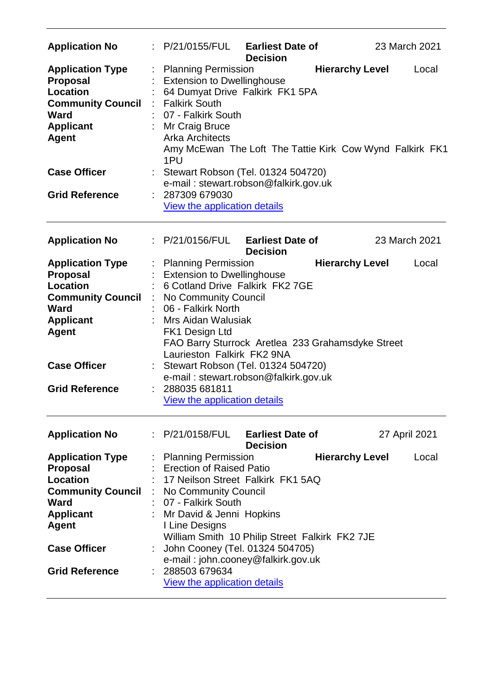| <b>Application No</b>                                                                                                                 |     | P/21/0155/FUL                                                                                                                                             | <b>Earliest Date of</b><br><b>Decision</b>                                                  |                        | 23 March 2021 |       |
|---------------------------------------------------------------------------------------------------------------------------------------|-----|-----------------------------------------------------------------------------------------------------------------------------------------------------------|---------------------------------------------------------------------------------------------|------------------------|---------------|-------|
| <b>Application Type</b><br><b>Proposal</b><br><b>Location</b><br><b>Community Council</b><br><b>Ward</b><br><b>Applicant</b><br>Agent | 1PU | <b>Planning Permission</b><br><b>Extension to Dwellinghouse</b><br><b>Falkirk South</b><br>07 - Falkirk South<br>Mr Craig Bruce<br><b>Arka Architects</b> | 64 Dumyat Drive Falkirk FK1 5PA<br>Amy McEwan The Loft The Tattie Kirk Cow Wynd Falkirk FK1 | <b>Hierarchy Level</b> |               | Local |
| <b>Case Officer</b><br><b>Grid Reference</b>                                                                                          |     | 287309 679030                                                                                                                                             | Stewart Robson (Tel. 01324 504720)<br>e-mail: stewart.robson@falkirk.gov.uk                 |                        |               |       |
|                                                                                                                                       |     | View the application details                                                                                                                              |                                                                                             |                        |               |       |
| <b>Application No</b>                                                                                                                 |     | : P/21/0156/FUL                                                                                                                                           | <b>Earliest Date of</b><br><b>Decision</b>                                                  |                        | 23 March 2021 |       |
| <b>Application Type</b>                                                                                                               |     | <b>Planning Permission</b>                                                                                                                                |                                                                                             | <b>Hierarchy Level</b> |               | Local |
| <b>Proposal</b>                                                                                                                       |     | <b>Extension to Dwellinghouse</b>                                                                                                                         |                                                                                             |                        |               |       |
| Location                                                                                                                              |     |                                                                                                                                                           | 6 Cotland Drive Falkirk FK2 7GE                                                             |                        |               |       |
| <b>Community Council</b>                                                                                                              |     | No Community Council                                                                                                                                      |                                                                                             |                        |               |       |
| <b>Ward</b>                                                                                                                           |     | 06 - Falkirk North                                                                                                                                        |                                                                                             |                        |               |       |
|                                                                                                                                       |     |                                                                                                                                                           |                                                                                             |                        |               |       |
| <b>Applicant</b>                                                                                                                      |     | Mrs Aidan Walusiak                                                                                                                                        |                                                                                             |                        |               |       |
| <b>Agent</b>                                                                                                                          |     | FK1 Design Ltd<br>Laurieston Falkirk FK2 9NA                                                                                                              | FAO Barry Sturrock Aretlea 233 Grahamsdyke Street                                           |                        |               |       |
| <b>Case Officer</b>                                                                                                                   |     |                                                                                                                                                           | Stewart Robson (Tel. 01324 504720)<br>e-mail: stewart.robson@falkirk.gov.uk                 |                        |               |       |
| <b>Grid Reference</b>                                                                                                                 |     | 288035 681811<br><b>View the application details</b>                                                                                                      |                                                                                             |                        |               |       |
| <b>Application No</b>                                                                                                                 |     | : P/21/0158/FUL                                                                                                                                           | <b>Earliest Date of</b><br><b>Decision</b>                                                  |                        | 27 April 2021 |       |
| <b>Application Type</b>                                                                                                               |     | : Planning Permission                                                                                                                                     |                                                                                             | <b>Hierarchy Level</b> |               | Local |
| <b>Proposal</b>                                                                                                                       |     | <b>Erection of Raised Patio</b>                                                                                                                           |                                                                                             |                        |               |       |
| Location                                                                                                                              |     |                                                                                                                                                           | 17 Neilson Street Falkirk FK1 5AQ                                                           |                        |               |       |
|                                                                                                                                       |     |                                                                                                                                                           |                                                                                             |                        |               |       |
| <b>Community Council</b>                                                                                                              |     | No Community Council                                                                                                                                      |                                                                                             |                        |               |       |
| <b>Ward</b>                                                                                                                           |     | 07 - Falkirk South                                                                                                                                        |                                                                                             |                        |               |       |
| <b>Applicant</b>                                                                                                                      |     | Mr David & Jenni Hopkins                                                                                                                                  |                                                                                             |                        |               |       |
| <b>Agent</b>                                                                                                                          |     | I Line Designs                                                                                                                                            |                                                                                             |                        |               |       |
|                                                                                                                                       |     |                                                                                                                                                           | William Smith 10 Philip Street Falkirk FK2 7JE                                              |                        |               |       |
| <b>Case Officer</b>                                                                                                                   |     |                                                                                                                                                           | John Cooney (Tel. 01324 504705)                                                             |                        |               |       |
|                                                                                                                                       |     |                                                                                                                                                           | e-mail: john.cooney@falkirk.gov.uk                                                          |                        |               |       |
| <b>Grid Reference</b>                                                                                                                 |     | 288503 679634                                                                                                                                             |                                                                                             |                        |               |       |
|                                                                                                                                       |     | <b>View the application details</b>                                                                                                                       |                                                                                             |                        |               |       |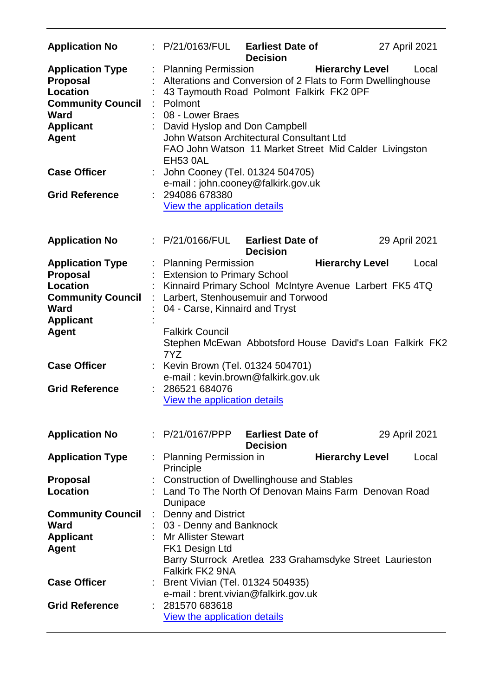| <b>Application No</b>                                                                                                                                                                 | : P/21/0163/FUL                                                                                                                                                                                                                      | <b>Earliest Date of</b><br><b>Decision</b>                                                                                                                                                                                                       |                        | 27 April 2021 |
|---------------------------------------------------------------------------------------------------------------------------------------------------------------------------------------|--------------------------------------------------------------------------------------------------------------------------------------------------------------------------------------------------------------------------------------|--------------------------------------------------------------------------------------------------------------------------------------------------------------------------------------------------------------------------------------------------|------------------------|---------------|
| <b>Application Type</b><br><b>Proposal</b><br><b>Location</b><br><b>Community Council</b><br><b>Ward</b><br><b>Applicant</b><br><b>Agent</b><br><b>Case Officer</b>                   | <b>Planning Permission</b><br>Polmont<br>08 - Lower Braes<br>David Hyslop and Don Campbell<br><b>EH53 0AL</b>                                                                                                                        | Alterations and Conversion of 2 Flats to Form Dwellinghouse<br>43 Taymouth Road Polmont Falkirk FK2 0PF<br>John Watson Architectural Consultant Ltd<br>FAO John Watson 11 Market Street Mid Calder Livingston<br>John Cooney (Tel. 01324 504705) | <b>Hierarchy Level</b> | Local         |
| <b>Grid Reference</b>                                                                                                                                                                 | 294086 678380<br>View the application details                                                                                                                                                                                        | e-mail: john.cooney@falkirk.gov.uk                                                                                                                                                                                                               |                        |               |
| <b>Application No</b>                                                                                                                                                                 | : P/21/0166/FUL                                                                                                                                                                                                                      | <b>Earliest Date of</b><br><b>Decision</b>                                                                                                                                                                                                       |                        | 29 April 2021 |
| <b>Application Type</b><br><b>Proposal</b><br>Location<br><b>Community Council</b><br><b>Ward</b><br><b>Applicant</b><br><b>Agent</b><br><b>Case Officer</b><br><b>Grid Reference</b> | <b>Planning Permission</b><br><b>Extension to Primary School</b><br>04 - Carse, Kinnaird and Tryst<br><b>Falkirk Council</b><br>7YZ<br>Kevin Brown (Tel. 01324 504701)<br>286521 684076<br><b>View the application details</b>       | Kinnaird Primary School McIntyre Avenue Larbert FK5 4TQ<br>Larbert, Stenhousemuir and Torwood<br>Stephen McEwan Abbotsford House David's Loan Falkirk FK2<br>e-mail: kevin.brown@falkirk.gov.uk                                                  | <b>Hierarchy Level</b> | Local         |
| <b>Application No</b>                                                                                                                                                                 | : P/21/0167/PPP Earliest Date of                                                                                                                                                                                                     | <b>Decision</b>                                                                                                                                                                                                                                  |                        | 29 April 2021 |
| <b>Application Type</b><br><b>Proposal</b><br><b>Location</b>                                                                                                                         | <b>Planning Permission in</b><br>Principle                                                                                                                                                                                           | <b>Construction of Dwellinghouse and Stables</b><br>Land To The North Of Denovan Mains Farm Denovan Road                                                                                                                                         | <b>Hierarchy Level</b> | Local         |
| <b>Community Council</b><br><b>Ward</b><br><b>Applicant</b><br><b>Agent</b><br><b>Case Officer</b><br><b>Grid Reference</b>                                                           | Dunipace<br><b>Denny and District</b><br>÷<br>03 - Denny and Banknock<br><b>Mr Allister Stewart</b><br>FK1 Design Ltd<br><b>Falkirk FK2 9NA</b><br>Brent Vivian (Tel. 01324 504935)<br>281570 683618<br>View the application details | Barry Sturrock Aretlea 233 Grahamsdyke Street Laurieston<br>e-mail: brent.vivian@falkirk.gov.uk                                                                                                                                                  |                        |               |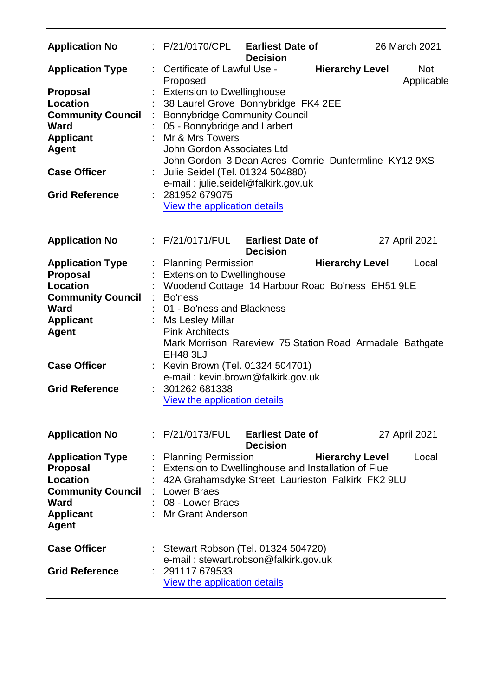| <b>Application No</b>                                                                                                                                                                 | : P/21/0170/CPL Earliest Date of                                                                                                                                                                                                                                                                                                                                                   | <b>Decision</b>                            |                        | 26 March 2021            |
|---------------------------------------------------------------------------------------------------------------------------------------------------------------------------------------|------------------------------------------------------------------------------------------------------------------------------------------------------------------------------------------------------------------------------------------------------------------------------------------------------------------------------------------------------------------------------------|--------------------------------------------|------------------------|--------------------------|
| <b>Application Type</b>                                                                                                                                                               | Certificate of Lawful Use -<br>Proposed                                                                                                                                                                                                                                                                                                                                            |                                            | <b>Hierarchy Level</b> | <b>Not</b><br>Applicable |
| <b>Proposal</b><br>Location<br><b>Community Council</b><br>Ward<br><b>Applicant</b><br><b>Agent</b>                                                                                   | <b>Extension to Dwellinghouse</b><br>38 Laurel Grove Bonnybridge FK4 2EE<br><b>Bonnybridge Community Council</b><br>05 - Bonnybridge and Larbert<br>Mr & Mrs Towers<br>John Gordon Associates Ltd<br>John Gordon 3 Dean Acres Comrie Dunfermline KY12 9XS                                                                                                                          |                                            |                        |                          |
| <b>Case Officer</b><br><b>Grid Reference</b>                                                                                                                                          | Julie Seidel (Tel. 01324 504880)<br>e-mail: julie.seidel@falkirk.gov.uk                                                                                                                                                                                                                                                                                                            |                                            |                        |                          |
|                                                                                                                                                                                       | 281952 679075<br><b>View the application details</b>                                                                                                                                                                                                                                                                                                                               |                                            |                        |                          |
| <b>Application No</b>                                                                                                                                                                 | : P/21/0171/FUL                                                                                                                                                                                                                                                                                                                                                                    | <b>Earliest Date of</b><br><b>Decision</b> |                        | 27 April 2021            |
| <b>Application Type</b><br><b>Proposal</b><br>Location<br><b>Community Council</b><br><b>Ward</b><br><b>Applicant</b><br><b>Agent</b><br><b>Case Officer</b><br><b>Grid Reference</b> | : Planning Permission<br><b>Extension to Dwellinghouse</b><br>Woodend Cottage 14 Harbour Road Bo'ness EH51 9LE<br>Bo'ness<br>01 - Bo'ness and Blackness<br>: Ms Lesley Millar<br><b>Pink Architects</b><br>Mark Morrison Rareview 75 Station Road Armadale Bathgate<br><b>EH48 3LJ</b><br>: Kevin Brown (Tel. 01324 504701)<br>e-mail: kevin.brown@falkirk.gov.uk<br>301262 681338 |                                            | <b>Hierarchy Level</b> | Local                    |
|                                                                                                                                                                                       | <b>View the application details</b>                                                                                                                                                                                                                                                                                                                                                |                                            |                        |                          |
| <b>Application No</b>                                                                                                                                                                 | : P/21/0173/FUL                                                                                                                                                                                                                                                                                                                                                                    | <b>Earliest Date of</b><br><b>Decision</b> |                        | 27 April 2021            |
| <b>Application Type</b><br><b>Proposal</b><br><b>Location</b><br><b>Community Council</b><br><b>Ward</b><br><b>Applicant</b><br><b>Agent</b>                                          | <b>Planning Permission</b><br>Extension to Dwellinghouse and Installation of Flue<br>42A Grahamsdyke Street Laurieston Falkirk FK2 9LU<br>: Lower Braes<br>08 - Lower Braes<br>: Mr Grant Anderson                                                                                                                                                                                 |                                            | <b>Hierarchy Level</b> | Local                    |
| <b>Case Officer</b><br><b>Grid Reference</b>                                                                                                                                          | : Stewart Robson (Tel. 01324 504720)<br>e-mail: stewart.robson@falkirk.gov.uk<br>291117 679533<br><b>View the application details</b>                                                                                                                                                                                                                                              |                                            |                        |                          |